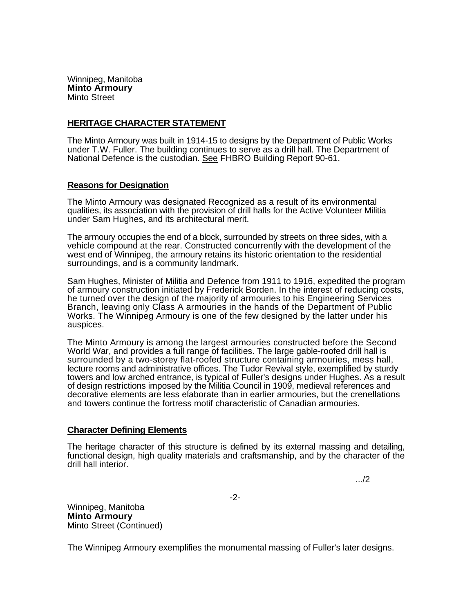Winnipeg, Manitoba **Minto Armoury**  Minto Street

## **HERITAGE CHARACTER STATEMENT**

The Minto Armoury was built in 1914-15 to designs by the Department of Public Works under T.W. Fuller. The building continues to serve as a drill hall. The Department of National Defence is the custodian. See FHBRO Building Report 90-61.

## **Reasons for Designation**

The Minto Armoury was designated Recognized as a result of its environmental qualities, its association with the provision of drill halls for the Active Volunteer Militia under Sam Hughes, and its architectural merit.

The armoury occupies the end of a block, surrounded by streets on three sides, with a vehicle compound at the rear. Constructed concurrently with the development of the west end of Winnipeg, the armoury retains its historic orientation to the residential surroundings, and is a community landmark.

Sam Hughes, Minister of Militia and Defence from 1911 to 1916, expedited the program of armoury construction initiated by Frederick Borden. In the interest of reducing costs, he turned over the design of the majority of armouries to his Engineering Services Branch, leaving only Class A armouries in the hands of the Department of Public Works. The Winnipeg Armoury is one of the few designed by the latter under his auspices.

The Minto Armoury is among the largest armouries constructed before the Second World War, and provides a full range of facilities. The large gable-roofed drill hall is surrounded by a two-storey flat-roofed structure containing armouries, mess hall, lecture rooms and administrative offices. The Tudor Revival style, exemplified by sturdy towers and low arched entrance, is typical of Fuller's designs under Hughes. As a result of design restrictions imposed by the Militia Council in 1909, medieval references and decorative elements are less elaborate than in earlier armouries, but the crenellations and towers continue the fortress motif characteristic of Canadian armouries.

## **Character Defining Elements**

The heritage character of this structure is defined by its external massing and detailing, functional design, high quality materials and craftsmanship, and by the character of the drill hall interior.

.../2

-2-

Winnipeg, Manitoba **Minto Armoury**  Minto Street (Continued)

The Winnipeg Armoury exemplifies the monumental massing of Fuller's later designs.